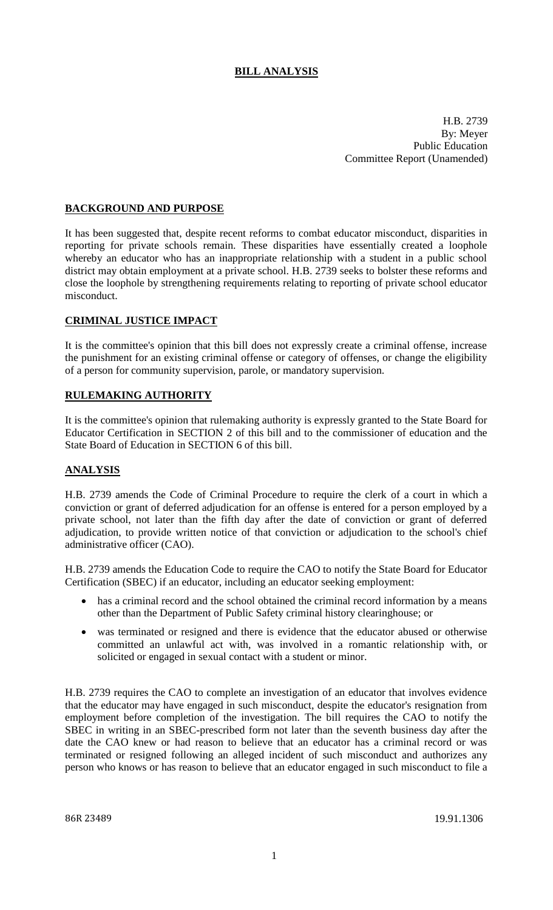# **BILL ANALYSIS**

H.B. 2739 By: Meyer Public Education Committee Report (Unamended)

### **BACKGROUND AND PURPOSE**

It has been suggested that, despite recent reforms to combat educator misconduct, disparities in reporting for private schools remain. These disparities have essentially created a loophole whereby an educator who has an inappropriate relationship with a student in a public school district may obtain employment at a private school. H.B. 2739 seeks to bolster these reforms and close the loophole by strengthening requirements relating to reporting of private school educator misconduct.

## **CRIMINAL JUSTICE IMPACT**

It is the committee's opinion that this bill does not expressly create a criminal offense, increase the punishment for an existing criminal offense or category of offenses, or change the eligibility of a person for community supervision, parole, or mandatory supervision.

### **RULEMAKING AUTHORITY**

It is the committee's opinion that rulemaking authority is expressly granted to the State Board for Educator Certification in SECTION 2 of this bill and to the commissioner of education and the State Board of Education in SECTION 6 of this bill.

## **ANALYSIS**

H.B. 2739 amends the Code of Criminal Procedure to require the clerk of a court in which a conviction or grant of deferred adjudication for an offense is entered for a person employed by a private school, not later than the fifth day after the date of conviction or grant of deferred adjudication, to provide written notice of that conviction or adjudication to the school's chief administrative officer (CAO).

H.B. 2739 amends the Education Code to require the CAO to notify the State Board for Educator Certification (SBEC) if an educator, including an educator seeking employment:

- has a criminal record and the school obtained the criminal record information by a means other than the Department of Public Safety criminal history clearinghouse; or
- was terminated or resigned and there is evidence that the educator abused or otherwise committed an unlawful act with, was involved in a romantic relationship with, or solicited or engaged in sexual contact with a student or minor.

H.B. 2739 requires the CAO to complete an investigation of an educator that involves evidence that the educator may have engaged in such misconduct, despite the educator's resignation from employment before completion of the investigation. The bill requires the CAO to notify the SBEC in writing in an SBEC-prescribed form not later than the seventh business day after the date the CAO knew or had reason to believe that an educator has a criminal record or was terminated or resigned following an alleged incident of such misconduct and authorizes any person who knows or has reason to believe that an educator engaged in such misconduct to file a